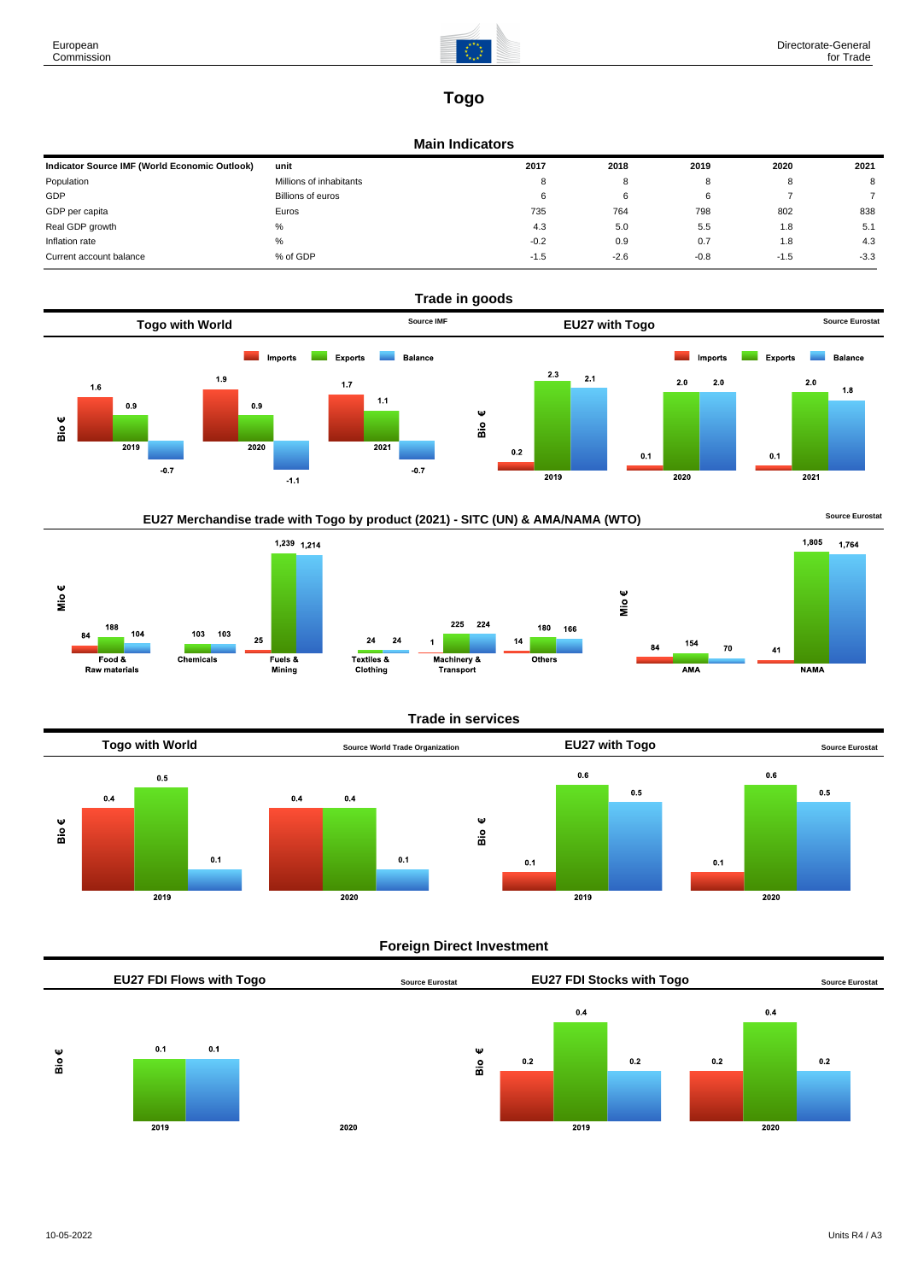

# **Togo**

#### **Main Indicators**

| Indicator Source IMF (World Economic Outlook) | unit                    | 2017   | 2018   | 2019   | 2020   | 2021   |
|-----------------------------------------------|-------------------------|--------|--------|--------|--------|--------|
| Population                                    | Millions of inhabitants | 8      | 8      |        | o      | 8      |
| GDP                                           | Billions of euros       | 6      | 6      |        |        |        |
| GDP per capita                                | Euros                   | 735    | 764    | 798    | 802    | 838    |
| Real GDP growth                               | %                       | 4.3    | 5.0    | 5.5    | 1.8    | 5.1    |
| Inflation rate                                | $\%$                    | $-0.2$ | 0.9    | 0.7    | 1.8    | 4.3    |
| Current account balance                       | % of GDP                | $-1.5$ | $-2.6$ | $-0.8$ | $-1.5$ | $-3.3$ |





#### **Trade in services**



#### **Foreign Direct Investment**